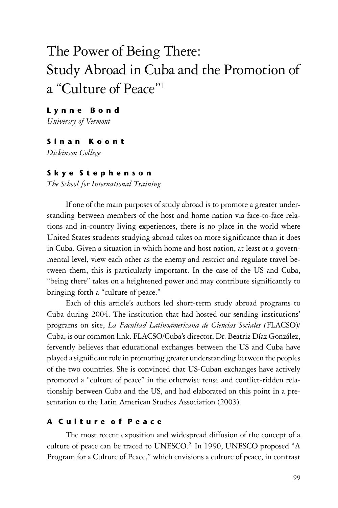# The Power of Being There: Study Abroad in Cuba and the Promotion of a "Culture of Peace"1

L y n n e B o n d

*Universty of Vermont*

## S i n a n K o o n t

*Dickinson College*

## S k y e S t e p h e n s o n

*The School for International Training*

If one of the main purposes of study abroad is to promote a greater understanding between members of the host and home nation via face-to-face relations and in-country living experiences, there is no place in the world where United States students studying abroad takes on more significance than it does in Cuba. Given a situation in which home and host nation, at least at a governmental level, view each other as the enemy and restrict and regulate travel between them, this is particularly important. In the case of the US and Cuba, "being there" takes on a heightened power and may contribute significantly to bringing forth a "culture of peace."

Each of this article's authors led short-term study abroad programs to Cuba during 2004. The institution that had hosted our sending institutions' programs on site, *La Facultad Latinoamericana de Ciencias Sociales (*FLACSO)/ Cuba, is our common link. FLACSO/Cuba's director, Dr. Beatriz Díaz González, fervently believes that educational exchanges between the US and Cuba have played a significant role in promoting greater understanding between the peoples of the two countries. She is convinced that US-Cuban exchanges have actively promoted a "culture of peace" in the otherwise tense and conflict-ridden relationship between Cuba and the US, and had elaborated on this point in a presentation to the Latin American Studies Association (2003).

# A Culture of Peace

The most recent exposition and widespread diffusion of the concept of a culture of peace can be traced to UNESCO.<sup>2</sup> In 1990, UNESCO proposed "A Program for a Culture of Peace," which envisions a culture of peace, in contrast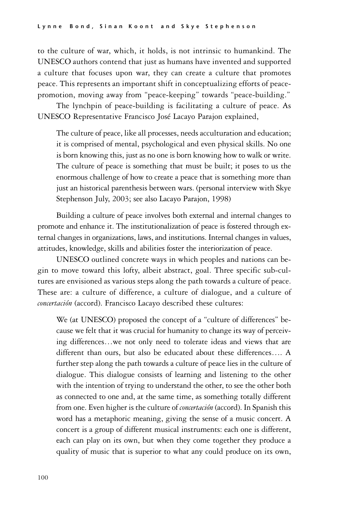to the culture of war, which, it holds, is not intrinsic to humankind. The UNESCO authors contend that just as humans have invented and supported a culture that focuses upon war, they can create a culture that promotes peace. This represents an important shift in conceptualizing efforts of peacepromotion, moving away from "peace-keeping" towards "peace-building."

The lynchpin of peace-building is facilitating a culture of peace. As UNESCO Representative Francisco José Lacayo Parajon explained,

The culture of peace, like all processes, needs acculturation and education; it is comprised of mental, psychological and even physical skills. No one is born knowing this, just as no one is born knowing how to walk or write. The culture of peace is something that must be built; it poses to us the enormous challenge of how to create a peace that is something more than just an historical parenthesis between wars. (personal interview with Skye Stephenson July, 2003; see also Lacayo Parajon, 1998)

Building a culture of peace involves both external and internal changes to promote and enhance it. The institutionalization of peace is fostered through external changes in organizations, laws, and institutions. Internal changes in values, attitudes, knowledge, skills and abilities foster the interiorization of peace.

UNESCO outlined concrete ways in which peoples and nations can begin to move toward this lofty, albeit abstract, goal. Three specific sub-cultures are envisioned as various steps along the path towards a culture of peace. These are: a culture of difference, a culture of dialogue, and a culture of *concertación* (accord). Francisco Lacayo described these cultures:

We (at UNESCO) proposed the concept of a "culture of differences" because we felt that it was crucial for humanity to change its way of perceiving differences…we not only need to tolerate ideas and views that are different than ours, but also be educated about these differences…. A further step along the path towards a culture of peace lies in the culture of dialogue. This dialogue consists of learning and listening to the other with the intention of trying to understand the other, to see the other both as connected to one and, at the same time, as something totally different from one. Even higher is the culture of *concertación* (accord). In Spanish this word has a metaphoric meaning, giving the sense of a music concert. A concert is a group of different musical instruments: each one is different, each can play on its own, but when they come together they produce a quality of music that is superior to what any could produce on its own,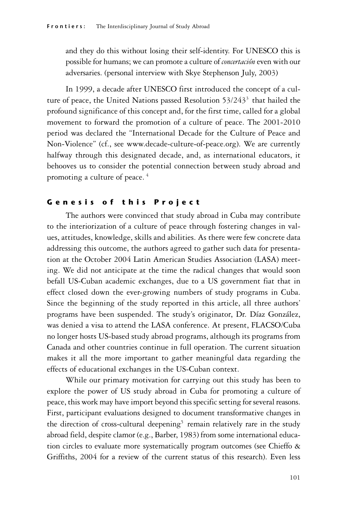and they do this without losing their self-identity. For UNESCO this is possible for humans; we can promote a culture of *concertación* even with our adversaries. (personal interview with Skye Stephenson July, 2003)

In 1999, a decade after UNESCO first introduced the concept of a culture of peace, the United Nations passed Resolution 53/243<sup>3</sup> that hailed the profound significance of this concept and, for the first time, called for a global movement to forward the promotion of a culture of peace. The 2001-2010 period was declared the "International Decade for the Culture of Peace and Non-Violence" (cf., see www.decade-culture-of-peace.org). We are currently halfway through this designated decade, and, as international educators, it behooves us to consider the potential connection between study abroad and promoting a culture of peace. 4

# Genesis of this Project

The authors were convinced that study abroad in Cuba may contribute to the interiorization of a culture of peace through fostering changes in values, attitudes, knowledge, skills and abilities. As there were few concrete data addressing this outcome, the authors agreed to gather such data for presentation at the October 2004 Latin American Studies Association (LASA) meeting. We did not anticipate at the time the radical changes that would soon befall US-Cuban academic exchanges, due to a US government fiat that in effect closed down the ever-growing numbers of study programs in Cuba. Since the beginning of the study reported in this article, all three authors' programs have been suspended. The study's originator, Dr. Díaz González, was denied a visa to attend the LASA conference. At present, FLACSO/Cuba no longer hosts US-based study abroad programs, although its programs from Canada and other countries continue in full operation. The current situation makes it all the more important to gather meaningful data regarding the effects of educational exchanges in the US-Cuban context.

While our primary motivation for carrying out this study has been to explore the power of US study abroad in Cuba for promoting a culture of peace, this work may have import beyond this specific setting for several reasons. First, participant evaluations designed to document transformative changes in the direction of cross-cultural deepening<sup>5</sup> remain relatively rare in the study abroad field, despite clamor (e.g., Barber, 1983) from some international education circles to evaluate more systematically program outcomes (see Chieffo & Griffiths, 2004 for a review of the current status of this research). Even less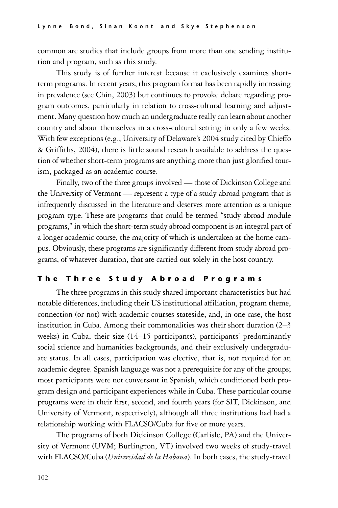common are studies that include groups from more than one sending institution and program, such as this study.

This study is of further interest because it exclusively examines shortterm programs. In recent years, this program format has been rapidly increasing in prevalence (see Chin, 2003) but continues to provoke debate regarding program outcomes, particularly in relation to cross-cultural learning and adjustment. Many question how much an undergraduate really can learn about another country and about themselves in a cross-cultural setting in only a few weeks. With few exceptions (e.g., University of Delaware's 2004 study cited by Chieffo & Griffiths, 2004), there is little sound research available to address the question of whether short-term programs are anything more than just glorified tourism, packaged as an academic course.

Finally, two of the three groups involved — those of Dickinson College and the University of Vermont — represent a type of a study abroad program that is infrequently discussed in the literature and deserves more attention as a unique program type. These are programs that could be termed "study abroad module programs," in which the short-term study abroad component is an integral part of a longer academic course, the majority of which is undertaken at the home campus. Obviously, these programs are significantly different from study abroad programs, of whatever duration, that are carried out solely in the host country.

## The Three Study Abroad Programs

The three programs in this study shared important characteristics but had notable differences, including their US institutional affiliation, program theme, connection (or not) with academic courses stateside, and, in one case, the host institution in Cuba. Among their commonalities was their short duration (2–3 weeks) in Cuba, their size (14–15 participants), participants' predominantly social science and humanities backgrounds, and their exclusively undergraduate status. In all cases, participation was elective, that is, not required for an academic degree. Spanish language was not a prerequisite for any of the groups; most participants were not conversant in Spanish, which conditioned both program design and participant experiences while in Cuba. These particular course programs were in their first, second, and fourth years (for SIT, Dickinson, and University of Vermont, respectively), although all three institutions had had a relationship working with FLACSO/Cuba for five or more years.

The programs of both Dickinson College (Carlisle, PA) and the University of Vermont (UVM; Burlington, VT) involved two weeks of study-travel with FLACSO/Cuba (*Universidad de la Habana*). In both cases, the study-travel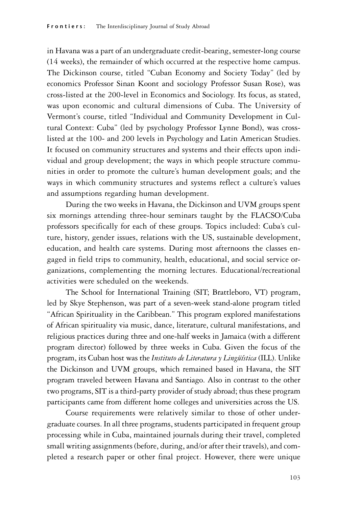in Havana was a part of an undergraduate credit-bearing, semester-long course (14 weeks), the remainder of which occurred at the respective home campus. The Dickinson course, titled "Cuban Economy and Society Today" (led by economics Professor Sinan Koont and sociology Professor Susan Rose), was cross-listed at the 200-level in Economics and Sociology. Its focus, as stated, was upon economic and cultural dimensions of Cuba. The University of Vermont's course, titled "Individual and Community Development in Cultural Context: Cuba" (led by psychology Professor Lynne Bond), was crosslisted at the 100- and 200 levels in Psychology and Latin American Studies. It focused on community structures and systems and their effects upon individual and group development; the ways in which people structure communities in order to promote the culture's human development goals; and the ways in which community structures and systems reflect a culture's values and assumptions regarding human development.

During the two weeks in Havana, the Dickinson and UVM groups spent six mornings attending three-hour seminars taught by the FLACSO/Cuba professors specifically for each of these groups. Topics included: Cuba's culture, history, gender issues, relations with the US, sustainable development, education, and health care systems. During most afternoons the classes engaged in field trips to community, health, educational, and social service organizations, complementing the morning lectures. Educational/recreational activities were scheduled on the weekends.

The School for International Training (SIT; Brattleboro, VT) program, led by Skye Stephenson, was part of a seven-week stand-alone program titled "African Spirituality in the Caribbean." This program explored manifestations of African spirituality via music, dance, literature, cultural manifestations, and religious practices during three and one-half weeks in Jamaica (with a different program director) followed by three weeks in Cuba. Given the focus of the program, its Cuban host was the *Instituto de Literatura y Lingüística* (ILL). Unlike the Dickinson and UVM groups, which remained based in Havana, the SIT program traveled between Havana and Santiago. Also in contrast to the other two programs, SIT is a third-party provider of study abroad; thus these program participants came from different home colleges and universities across the US.

Course requirements were relatively similar to those of other undergraduate courses. In all three programs, students participated in frequent group processing while in Cuba, maintained journals during their travel, completed small writing assignments (before, during, and/or after their travels), and completed a research paper or other final project. However, there were unique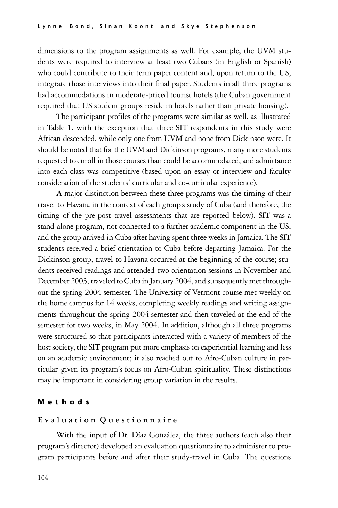dimensions to the program assignments as well. For example, the UVM students were required to interview at least two Cubans (in English or Spanish) who could contribute to their term paper content and, upon return to the US, integrate those interviews into their final paper. Students in all three programs had accommodations in moderate-priced tourist hotels (the Cuban government required that US student groups reside in hotels rather than private housing).

The participant profiles of the programs were similar as well, as illustrated in Table 1, with the exception that three SIT respondents in this study were African descended, while only one from UVM and none from Dickinson were. It should be noted that for the UVM and Dickinson programs, many more students requested to enroll in those courses than could be accommodated, and admittance into each class was competitive (based upon an essay or interview and faculty consideration of the students' curricular and co-curricular experience).

A major distinction between these three programs was the timing of their travel to Havana in the context of each group's study of Cuba (and therefore, the timing of the pre-post travel assessments that are reported below). SIT was a stand-alone program, not connected to a further academic component in the US, and the group arrived in Cuba after having spent three weeks in Jamaica. The SIT students received a brief orientation to Cuba before departing Jamaica. For the Dickinson group, travel to Havana occurred at the beginning of the course; students received readings and attended two orientation sessions in November and December 2003, traveled to Cuba in January 2004, and subsequently met throughout the spring 2004 semester. The University of Vermont course met weekly on the home campus for 14 weeks, completing weekly readings and writing assignments throughout the spring 2004 semester and then traveled at the end of the semester for two weeks, in May 2004. In addition, although all three programs were structured so that participants interacted with a variety of members of the host society, the SIT program put more emphasis on experiential learning and less on an academic environment; it also reached out to Afro-Cuban culture in particular given its program's focus on Afro-Cuban spirituality. These distinctions may be important in considering group variation in the results.

## M e t h o d s

#### **E v a l u a t i o n Q u e s t i o n n a i r e**

With the input of Dr. Díaz González, the three authors (each also their program's director) developed an evaluation questionnaire to administer to program participants before and after their study-travel in Cuba. The questions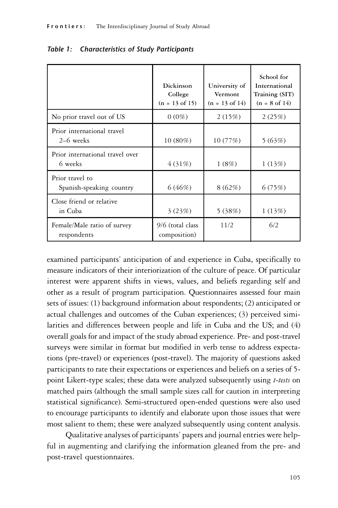|                                             | Dickinson<br>College<br>$(n = 13 \text{ of } 15)$ | University of<br>Vermont<br>$(n = 13 \text{ of } 14)$ | School for<br>International<br>Training (SIT)<br>$(n = 8 \text{ of } 14)$ |
|---------------------------------------------|---------------------------------------------------|-------------------------------------------------------|---------------------------------------------------------------------------|
| No prior travel out of US                   | $0(0\%)$                                          | 2(15%)                                                | 2(25%)                                                                    |
| Prior international travel<br>2–6 weeks     | $10(80\%)$                                        | 10(77%)                                               | 5(63%)                                                                    |
| Prior international travel over<br>6 weeks  | 4 (31\%)                                          | 1(8%)                                                 | 1(13%)                                                                    |
| Prior travel to<br>Spanish-speaking country | 6(46%)                                            | 8(62%)                                                | 6(75%)                                                                    |
| Close friend or relative<br>in Cuba         | 3(23%)                                            | 5(38%)                                                | 1(13%)                                                                    |
| Female/Male ratio of survey<br>respondents  | 9/6 (total class<br>composition)                  | 11/2                                                  | 6/2                                                                       |

|  | Table 1: Characteristics of Study Participants |  |  |
|--|------------------------------------------------|--|--|
|--|------------------------------------------------|--|--|

examined participants' anticipation of and experience in Cuba, specifically to measure indicators of their interiorization of the culture of peace. Of particular interest were apparent shifts in views, values, and beliefs regarding self and other as a result of program participation. Questionnaires assessed four main sets of issues: (1) background information about respondents; (2) anticipated or actual challenges and outcomes of the Cuban experiences; (3) perceived similarities and differences between people and life in Cuba and the US; and (4) overall goals for and impact of the study abroad experience. Pre- and post-travel surveys were similar in format but modified in verb tense to address expectations (pre-travel) or experiences (post-travel). The majority of questions asked participants to rate their expectations or experiences and beliefs on a series of 5 point Likert-type scales; these data were analyzed subsequently using *t-tests* on matched pairs (although the small sample sizes call for caution in interpreting statistical significance). Semi-structured open-ended questions were also used to encourage participants to identify and elaborate upon those issues that were most salient to them; these were analyzed subsequently using content analysis.

Qualitative analyses of participants' papers and journal entries were helpful in augmenting and clarifying the information gleaned from the pre- and post-travel questionnaires.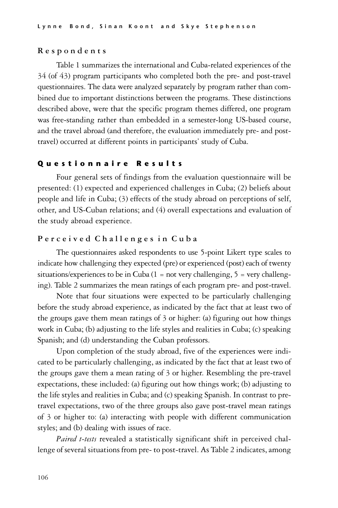#### **R e s p o n d e n t s**

Table 1 summarizes the international and Cuba-related experiences of the 34 (of 43) program participants who completed both the pre- and post-travel questionnaires. The data were analyzed separately by program rather than combined due to important distinctions between the programs. These distinctions described above, were that the specific program themes differed, one program was free-standing rather than embedded in a semester-long US-based course, and the travel abroad (and therefore, the evaluation immediately pre- and posttravel) occurred at different points in participants' study of Cuba.

### Questionnaire Results

Four general sets of findings from the evaluation questionnaire will be presented: (1) expected and experienced challenges in Cuba; (2) beliefs about people and life in Cuba; (3) effects of the study abroad on perceptions of self, other, and US-Cuban relations; and (4) overall expectations and evaluation of the study abroad experience.

## **P e r c e i v e d C h a l l e n g e s i n C u b a**

The questionnaires asked respondents to use 5-point Likert type scales to indicate how challenging they expected (pre) or experienced (post) each of twenty situations/experiences to be in Cuba  $(1 = not very challenging, 5 = very challenging$ ing). Table 2 summarizes the mean ratings of each program pre- and post-travel.

Note that four situations were expected to be particularly challenging before the study abroad experience, as indicated by the fact that at least two of the groups gave them mean ratings of  $\beta$  or higher: (a) figuring out how things work in Cuba; (b) adjusting to the life styles and realities in Cuba; (c) speaking Spanish; and (d) understanding the Cuban professors.

Upon completion of the study abroad, five of the experiences were indicated to be particularly challenging, as indicated by the fact that at least two of the groups gave them a mean rating of 3 or higher. Resembling the pre-travel expectations, these included: (a) figuring out how things work; (b) adjusting to the life styles and realities in Cuba; and (c) speaking Spanish. In contrast to pretravel expectations, two of the three groups also gave post-travel mean ratings of 3 or higher to: (a) interacting with people with different communication styles; and (b) dealing with issues of race.

*Paired t-tests* revealed a statistically significant shift in perceived challenge of several situations from pre- to post-travel. As Table 2 indicates, among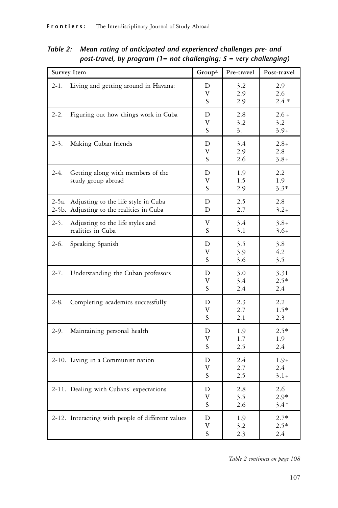| Survey Item                                                                           | Groupa       | Pre-travel        | Post-travel              |
|---------------------------------------------------------------------------------------|--------------|-------------------|--------------------------|
| $2 - 1$ .<br>Living and getting around in Havana:                                     | D<br>V<br>S  | 3.2<br>2.9<br>2.9 | 2.9<br>2.6<br>$2.4 *$    |
| $2 - 2.$<br>Figuring out how things work in Cuba                                      | D<br>V<br>S. | 2.8<br>3.2<br>3.  | $2.6+$<br>3.2<br>$3.9+$  |
| $2 - 3$ .<br>Making Cuban friends                                                     | D<br>V<br>S  | 3.4<br>2.9<br>2.6 | $2.8 +$<br>2.8<br>$3.8+$ |
| $2-4.$<br>Getting along with members of the<br>study group abroad                     | D<br>V<br>S. | 1.9<br>1.5<br>2.9 | 2.2<br>1.9<br>$3.3*$     |
| 2-5a. Adjusting to the life style in Cuba<br>2-5b. Adjusting to the realities in Cuba | D<br>D       | 2.5<br>2.7        | 2.8<br>$3.2+$            |
| $2 - 5.$<br>Adjusting to the life styles and<br>realities in Cuba                     | V<br>S       | 3.4<br>3.1        | $3.8+$<br>$3.6+$         |
| $2-6.$<br>Speaking Spanish                                                            | D<br>V<br>S. | 3.5<br>3.9<br>3.6 | 3.8<br>4.2<br>3.5        |
| $2 - 7.$<br>Understanding the Cuban professors                                        | D<br>V<br>S. | 3.0<br>3.4<br>2.4 | 3.31<br>$2.5*$<br>2.4    |
| $2 - 8.$<br>Completing academics successfully                                         | D<br>V<br>S. | 2.3<br>2.7<br>2.1 | 2.2<br>$1.5*$<br>2.3     |
| $2-9.$<br>Maintaining personal health                                                 | D<br>V<br>S  | 1.9<br>1.7<br>2.5 | $2.5*$<br>1.9<br>2.4     |
| 2-10. Living in a Communist nation                                                    | D<br>V<br>S  | 2.4<br>2.7<br>2.5 | $1.9+$<br>2.4<br>$3.1+$  |
| 2-11. Dealing with Cubans' expectations                                               | D<br>V<br>S. | 2.8<br>3.5<br>2.6 | 2.6<br>$2.9*$<br>$3.4 +$ |
| 2-12. Interacting with people of different values                                     | D<br>V<br>S  | 1.9<br>3.2<br>2.3 | $2.7*$<br>$2.5*$<br>2.4  |

Table 2: Mean rating of anticipated and experienced challenges pre- and post-travel, by program (1= not challenging;  $5$  = very challenging)

*Table 2 continues on page 108*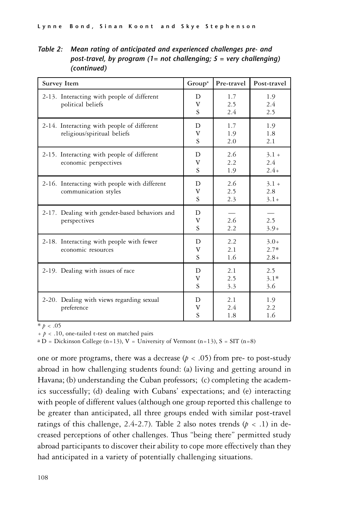Table 2: Mean rating of anticipated and experienced challenges pre- and post-travel, by program (1= not challenging;  $5$  = very challenging) (continued)

| <b>Survey Item</b>                                                        | Group <sup>a</sup>       | Pre-travel        | Post-travel                 |
|---------------------------------------------------------------------------|--------------------------|-------------------|-----------------------------|
| 2-13. Interacting with people of different<br>political beliefs           | D<br>V<br>S              | 1.7<br>2.5<br>2.4 | 1.9<br>2.4<br>2.5           |
| 2-14. Interacting with people of different<br>religious/spiritual beliefs | D<br>V<br>S              | 1.7<br>1.9<br>2.0 | 1.9<br>1.8<br>2.1           |
| 2-15. Interacting with people of different<br>economic perspectives       | D<br>V<br>S              | 2.6<br>2.2<br>1.9 | $3.1 +$<br>2.4<br>$2.4+$    |
| 2-16. Interacting with people with different<br>communication styles      | D<br>V<br>$\overline{S}$ | 2.6<br>2.5<br>2.3 | $3.1 +$<br>2.8<br>$3.1+$    |
| 2-17. Dealing with gender-based behaviors and<br>perspectives             | D<br>V<br>S              | 2.6<br>2.2        | 2.5<br>$3.9+$               |
| 2-18. Interacting with people with fewer<br>economic resources            | D<br>V<br>$\overline{S}$ | 2.2<br>2.1<br>1.6 | $3.0+$<br>$2.7*$<br>$2.8 +$ |
| 2-19. Dealing with issues of race                                         | D<br>V<br>S              | 2.1<br>2.5<br>3.3 | 2.5<br>$3.1*$<br>3.6        |
| 2-20. Dealing with views regarding sexual<br>preference                   | D<br>V<br>S              | 2.1<br>2.4<br>1.8 | 1.9<br>2.2<br>1.6           |

 $* p < .05$ 

+ *p* < .10, one-tailed t-test on matched pairs

 $a D = Dickinson College (n=13), V = University of Vermont (n=13), S = SIT (n=8)$ 

one or more programs, there was a decrease ( $p < .05$ ) from pre- to post-study abroad in how challenging students found: (a) living and getting around in Havana; (b) understanding the Cuban professors; (c) completing the academics successfully; (d) dealing with Cubans' expectations; and (e) interacting with people of different values (although one group reported this challenge to be greater than anticipated, all three groups ended with similar post-travel ratings of this challenge, 2.4-2.7). Table 2 also notes trends  $(p < .1)$  in decreased perceptions of other challenges. Thus "being there" permitted study abroad participants to discover their ability to cope more effectively than they had anticipated in a variety of potentially challenging situations.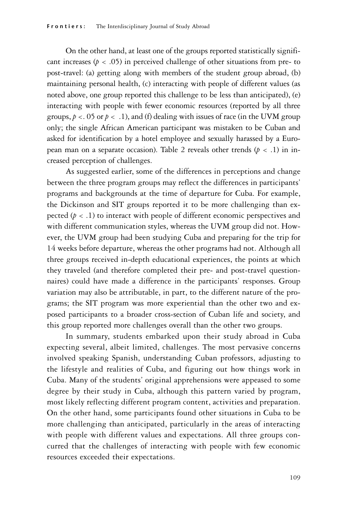On the other hand, at least one of the groups reported statistically significant increases ( $p < .05$ ) in perceived challenge of other situations from pre- to post-travel: (a) getting along with members of the student group abroad, (b) maintaining personal health, (c) interacting with people of different values (as noted above, one group reported this challenge to be less than anticipated), (e) interacting with people with fewer economic resources (reported by all three groups,  $p < 05$  or  $p < 0.1$ ), and (f) dealing with issues of race (in the UVM group only; the single African American participant was mistaken to be Cuban and asked for identification by a hotel employee and sexually harassed by a European man on a separate occasion). Table 2 reveals other trends  $(p < 0.1)$  in increased perception of challenges.

As suggested earlier, some of the differences in perceptions and change between the three program groups may reflect the differences in participants' programs and backgrounds at the time of departure for Cuba. For example, the Dickinson and SIT groups reported it to be more challenging than expected (*p* < .1) to interact with people of different economic perspectives and with different communication styles, whereas the UVM group did not. However, the UVM group had been studying Cuba and preparing for the trip for 14 weeks before departure, whereas the other programs had not. Although all three groups received in-depth educational experiences, the points at which they traveled (and therefore completed their pre- and post-travel questionnaires) could have made a difference in the participants' responses. Group variation may also be attributable, in part, to the different nature of the programs; the SIT program was more experiential than the other two and exposed participants to a broader cross-section of Cuban life and society, and this group reported more challenges overall than the other two groups.

In summary, students embarked upon their study abroad in Cuba expecting several, albeit limited, challenges. The most pervasive concerns involved speaking Spanish, understanding Cuban professors, adjusting to the lifestyle and realities of Cuba, and figuring out how things work in Cuba. Many of the students' original apprehensions were appeased to some degree by their study in Cuba, although this pattern varied by program, most likely reflecting different program content, activities and preparation. On the other hand, some participants found other situations in Cuba to be more challenging than anticipated, particularly in the areas of interacting with people with different values and expectations. All three groups concurred that the challenges of interacting with people with few economic resources exceeded their expectations.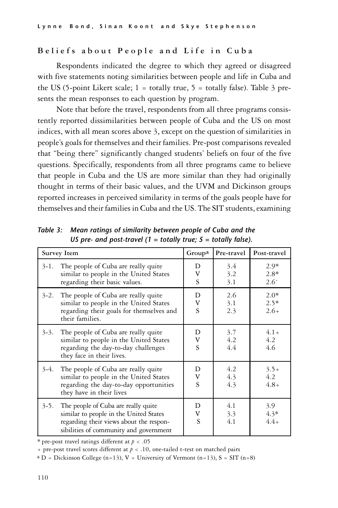# Beliefs about People and Life in Cuba

Respondents indicated the degree to which they agreed or disagreed with five statements noting similarities between people and life in Cuba and the US (5-point Likert scale;  $1 =$  totally true,  $5 =$  totally false). Table 3 presents the mean responses to each question by program.

Note that before the travel, respondents from all three programs consistently reported dissimilarities between people of Cuba and the US on most indices, with all mean scores above 3, except on the question of similarities in people's goals for themselves and their families. Pre-post comparisons revealed that "being there" significantly changed students' beliefs on four of the five questions. Specifically, respondents from all three programs came to believe that people in Cuba and the US are more similar than they had originally thought in terms of their basic values, and the UVM and Dickinson groups reported increases in perceived similarity in terms of the goals people have for themselves and their families in Cuba and the US. The SIT students, examining

|           | Survey Item                                                                                                                                                        | Group <sup>a</sup> | Pre-travel        | Post-travel                 |
|-----------|--------------------------------------------------------------------------------------------------------------------------------------------------------------------|--------------------|-------------------|-----------------------------|
| $3-1$ .   | The people of Cuba are really quite<br>similar to people in the United States<br>regarding their basic values.                                                     | D<br>v<br>S        | 3.4<br>3.2<br>3.1 | $2.9*$<br>$2.8*$<br>$2.6^+$ |
| $3 - 2$ . | The people of Cuba are really quite<br>similar to people in the United States<br>regarding their goals for themselves and<br>their families.                       | D<br>V<br>S        | 2.6<br>3.1<br>2.3 | $2.0*$<br>$2.5*$<br>$2.6+$  |
| $3 - 3$ . | The people of Cuba are really quite<br>similar to people in the United States<br>regarding the day-to-day challenges<br>they face in their lives.                  | D<br>V<br>S        | 3.7<br>4.2<br>4.4 | $4.1+$<br>4.2<br>4.6        |
| $3-4.$    | The people of Cuba are really quite<br>similar to people in the United States<br>regarding the day-to-day opportunities<br>they have in their lives                | D<br>V<br>S        | 4.2<br>4.3<br>4.3 | $3.5+$<br>4.2<br>$4.8 +$    |
| $3 - 5$ . | The people of Cuba are really quite<br>similar to people in the United States<br>regarding their views about the respon-<br>sibilities of community and government | D<br>V<br>S        | 4.1<br>3.3<br>4.1 | 3.9<br>$4.3*$<br>$4.4+$     |

Table 3: Mean ratings of similarity between people of Cuba and the US pre- and post-travel (1 = totally true;  $5 =$  totally false).

\* pre-post travel ratings different at *p* < .05

+ pre-post travel scores different at *p* < .10, one-tailed t-test on matched pairs

 $a D = Dickinson College (n=13), V = University of Vermont (n=13), S = SIT (n=8)$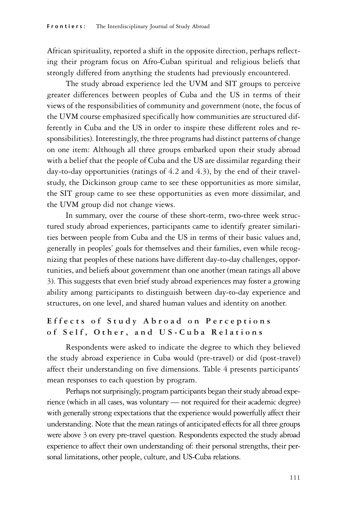African spirituality, reported a shift in the opposite direction, perhaps reflecting their program focus on Afro-Cuban spiritual and religious beliefs that strongly differed from anything the students had previously encountered.

The study abroad experience led the UVM and SIT groups to perceive greater differences between peoples of Cuba and the US in terms of their views of the responsibilities of community and government (note, the focus of the UVM course emphasized specifically how communities are structured differently in Cuba and the US in order to inspire these different roles and responsibilities). Interestingly, the three programs had distinct patterns of change on one item: Although all three groups embarked upon their study abroad with a belief that the people of Cuba and the US are dissimilar regarding their day-to-day opportunities (ratings of 4.2 and 4.3), by the end of their travelstudy, the Dickinson group came to see these opportunities as more similar, the SIT group came to see these opportunities as even more dissimilar, and the UVM group did not change views.

In summary, over the course of these short-term, two-three week structured study abroad experiences, participants came to identify greater similarities between people from Cuba and the US in terms of their basic values and, generally in peoples' goals for themselves and their families, even while recognizing that peoples of these nations have different day-to-day challenges, opportunities, and beliefs about government than one another (mean ratings all above 3). This suggests that even brief study abroad experiences may foster a growing ability among participants to distinguish between day-to-day experience and structures, on one level, and shared human values and identity on another.

# Effects of Study Abroad on Perceptions of Self, Other, and US-Cuba Relations

Respondents were asked to indicate the degree to which they believed the study abroad experience in Cuba would (pre-travel) or did (post-travel) affect their understanding on five dimensions. Table 4 presents participants' mean responses to each question by program.

Perhaps not surprisingly, program participants began their study abroad experience (which in all cases, was voluntary — not required for their academic degree) with generally strong expectations that the experience would powerfully affect their understanding. Note that the mean ratings of anticipated effects for all three groups were above 3 on every pre-travel question. Respondents expected the study abroad experience to affect their own understanding of: their personal strengths, their personal limitations, other people, culture, and US-Cuba relations.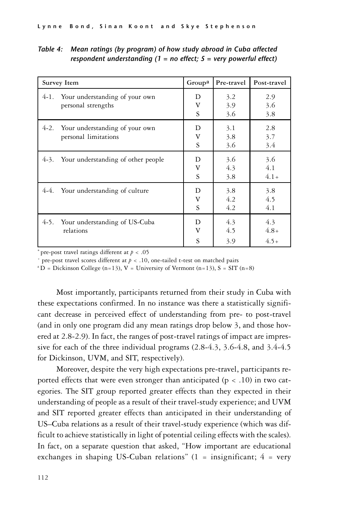| Survey Item                                | Groupa      | Pre-travel        | Post-travel          |
|--------------------------------------------|-------------|-------------------|----------------------|
| Your understanding of your own             | D           | 3.2               | 2.9                  |
| $4-1.$                                     | v           | 3.9               | 3.6                  |
| personal strengths                         | S           | 3.6               | 3.8                  |
| $4-2.$                                     | D           | 3.1               | 2.8                  |
| Your understanding of your own             | v           | 3.8               | 3.7                  |
| personal limitations                       | S           | 3.6               | 3.4                  |
| 4-3.<br>Your understanding of other people | D<br>V<br>S | 3.6<br>4.3<br>3.8 | 3.6<br>4.1<br>$4.1+$ |
| 4-4. Your understanding of culture         | D           | 3.8               | 3.8                  |
|                                            | v           | 4.2               | 4.5                  |
|                                            | S           | 4.2               | 4.1                  |
| $4-5.$                                     | D           | 4.3               | 4.3                  |
| Your understanding of US-Cuba              | v           | 4.5               | $4.8 +$              |
| relations                                  | S           | 3.9               | $4.5+$               |

Table 4: Mean ratings (by program) of how study abroad in Cuba affected respondent understanding  $(1 = no$  effect;  $5 = very$  powerful effect)

\* pre-post travel ratings different at *p* < .05

 $+$  pre-post travel scores different at  $p < .10$ , one-tailed t-test on matched pairs

 $a^a$ D = Dickinson College (n=13), V = University of Vermont (n=13), S = SIT (n=8)

Most importantly, participants returned from their study in Cuba with these expectations confirmed. In no instance was there a statistically significant decrease in perceived effect of understanding from pre- to post-travel (and in only one program did any mean ratings drop below 3, and those hovered at 2.8-2.9). In fact, the ranges of post-travel ratings of impact are impressive for each of the three individual programs (2.8-4.3, 3.6-4.8, and 3.4-4.5 for Dickinson, UVM, and SIT, respectively).

Moreover, despite the very high expectations pre-travel, participants reported effects that were even stronger than anticipated ( $p < .10$ ) in two categories. The SIT group reported greater effects than they expected in their understanding of people as a result of their travel-study experience; and UVM and SIT reported greater effects than anticipated in their understanding of US–Cuba relations as a result of their travel-study experience (which was difficult to achieve statistically in light of potential ceiling effects with the scales). In fact, on a separate question that asked, "How important are educational exchanges in shaping US-Cuban relations"  $(1 =$  insignificant;  $4 =$  very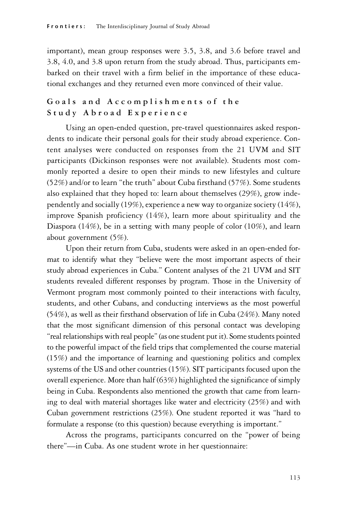important), mean group responses were 3.5, 3.8, and 3.6 before travel and 3.8, 4.0, and 3.8 upon return from the study abroad. Thus, participants embarked on their travel with a firm belief in the importance of these educational exchanges and they returned even more convinced of their value.

# Go als and Accomplishments of the Study Abroad Experience

Using an open-ended question, pre-travel questionnaires asked respondents to indicate their personal goals for their study abroad experience. Content analyses were conducted on responses from the 21 UVM and SIT participants (Dickinson responses were not available). Students most commonly reported a desire to open their minds to new lifestyles and culture (52%) and/or to learn "the truth" about Cuba firsthand (57%). Some students also explained that they hoped to: learn about themselves (29%), grow independently and socially (19%), experience a new way to organize society (14%), improve Spanish proficiency (14%), learn more about spirituality and the Diaspora (14%), be in a setting with many people of color (10%), and learn about government (5%).

Upon their return from Cuba, students were asked in an open-ended format to identify what they "believe were the most important aspects of their study abroad experiences in Cuba." Content analyses of the 21 UVM and SIT students revealed different responses by program. Those in the University of Vermont program most commonly pointed to their interactions with faculty, students, and other Cubans, and conducting interviews as the most powerful (54%), as well as their firsthand observation of life in Cuba (24%). Many noted that the most significant dimension of this personal contact was developing "real relationships with real people" (as one student put it). Some students pointed to the powerful impact of the field trips that complemented the course material (15%) and the importance of learning and questioning politics and complex systems of the US and other countries (15%). SIT participants focused upon the overall experience. More than half (63%) highlighted the significance of simply being in Cuba. Respondents also mentioned the growth that came from learning to deal with material shortages like water and electricity (25%) and with Cuban government restrictions (25%). One student reported it was "hard to formulate a response (to this question) because everything is important."

Across the programs, participants concurred on the "power of being there"—in Cuba. As one student wrote in her questionnaire: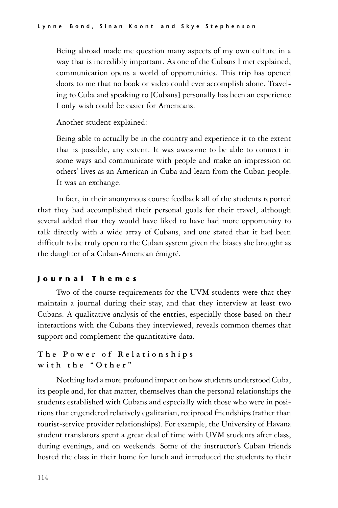Being abroad made me question many aspects of my own culture in a way that is incredibly important. As one of the Cubans I met explained, communication opens a world of opportunities. This trip has opened doors to me that no book or video could ever accomplish alone. Traveling to Cuba and speaking to [Cubans] personally has been an experience I only wish could be easier for Americans.

Another student explained:

Being able to actually be in the country and experience it to the extent that is possible, any extent. It was awesome to be able to connect in some ways and communicate with people and make an impression on others' lives as an American in Cuba and learn from the Cuban people. It was an exchange.

In fact, in their anonymous course feedback all of the students reported that they had accomplished their personal goals for their travel, although several added that they would have liked to have had more opportunity to talk directly with a wide array of Cubans, and one stated that it had been difficult to be truly open to the Cuban system given the biases she brought as the daughter of a Cuban-American émigré.

## J o u r n a l T h e m e s

Two of the course requirements for the UVM students were that they maintain a journal during their stay, and that they interview at least two Cubans. A qualitative analysis of the entries, especially those based on their interactions with the Cubans they interviewed, reveals common themes that support and complement the quantitative data.

## **T h e P o w e r o f R e l a t i o n s h i p s** with the "Other"

Nothing had a more profound impact on how students understood Cuba, its people and, for that matter, themselves than the personal relationships the students established with Cubans and especially with those who were in positions that engendered relatively egalitarian, reciprocal friendships (rather than tourist-service provider relationships). For example, the University of Havana student translators spent a great deal of time with UVM students after class, during evenings, and on weekends. Some of the instructor's Cuban friends hosted the class in their home for lunch and introduced the students to their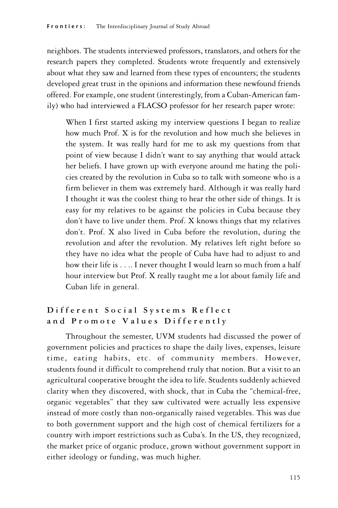neighbors. The students interviewed professors, translators, and others for the research papers they completed. Students wrote frequently and extensively about what they saw and learned from these types of encounters; the students developed great trust in the opinions and information these newfound friends offered. For example, one student (interestingly, from a Cuban-American family) who had interviewed a FLACSO professor for her research paper wrote:

When I first started asking my interview questions I began to realize how much Prof. X is for the revolution and how much she believes in the system. It was really hard for me to ask my questions from that point of view because I didn't want to say anything that would attack her beliefs. I have grown up with everyone around me hating the policies created by the revolution in Cuba so to talk with someone who is a firm believer in them was extremely hard. Although it was really hard I thought it was the coolest thing to hear the other side of things. It is easy for my relatives to be against the policies in Cuba because they don't have to live under them. Prof. X knows things that my relatives don't. Prof. X also lived in Cuba before the revolution, during the revolution and after the revolution. My relatives left right before so they have no idea what the people of Cuba have had to adjust to and how their life is . . .. I never thought I would learn so much from a half hour interview but Prof. X really taught me a lot about family life and Cuban life in general.

# **D i f f e r e n t S o c i a l S y s t e m s R e f l e c t** and Promote Values Differently

Throughout the semester, UVM students had discussed the power of government policies and practices to shape the daily lives, expenses, leisure time, eating habits, etc. of community members. However, students found it difficult to comprehend truly that notion. But a visit to an agricultural cooperative brought the idea to life. Students suddenly achieved clarity when they discovered, with shock, that in Cuba the "chemical-free, organic vegetables" that they saw cultivated were actually less expensive instead of more costly than non-organically raised vegetables. This was due to both government support and the high cost of chemical fertilizers for a country with import restrictions such as Cuba's. In the US, they recognized, the market price of organic produce, grown without government support in either ideology or funding, was much higher.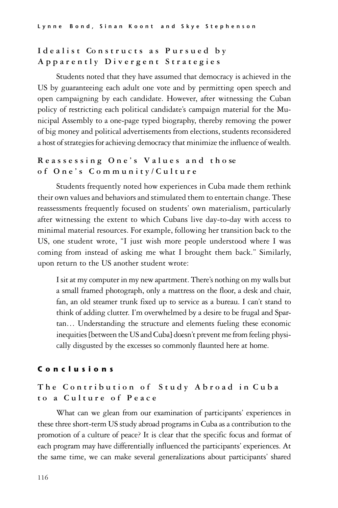# I dealist Constructs as Pursued by **A p p a r e n t l y D i v e r g e n t S t r a t e g i e s**

Students noted that they have assumed that democracy is achieved in the US by guaranteeing each adult one vote and by permitting open speech and open campaigning by each candidate. However, after witnessing the Cuban policy of restricting each political candidate's campaign material for the Municipal Assembly to a one-page typed biography, thereby removing the power of big money and political advertisements from elections, students reconsidered a host of strategies for achieving democracy that minimize the influence of wealth.

# **R e a s s e s s i n g O n e ' s V a l u e s a n d t h o se o f O n e ' s C o m m u n i t y / C u l t u r e**

Students frequently noted how experiences in Cuba made them rethink their own values and behaviors and stimulated them to entertain change. These reassessments frequently focused on students' own materialism, particularly after witnessing the extent to which Cubans live day-to-day with access to minimal material resources. For example, following her transition back to the US, one student wrote, "I just wish more people understood where I was coming from instead of asking me what I brought them back." Similarly, upon return to the US another student wrote:

I sit at my computer in my new apartment. There's nothing on my walls but a small framed photograph, only a mattress on the floor, a desk and chair, fan, an old steamer trunk fixed up to service as a bureau. I can't stand to think of adding clutter. I'm overwhelmed by a desire to be frugal and Spartan… Understanding the structure and elements fueling these economic inequities [between the US and Cuba] doesn't prevent me from feeling physically disgusted by the excesses so commonly flaunted here at home.

## C o n c l u s i o n s

# The Contribution of Study Abroad in Cuba **t o a C u l t u r e o f P e a c e**

What can we glean from our examination of participants' experiences in these three short-term US study abroad programs in Cuba as a contribution to the promotion of a culture of peace? It is clear that the specific focus and format of each program may have differentially influenced the participants' experiences. At the same time, we can make several generalizations about participants' shared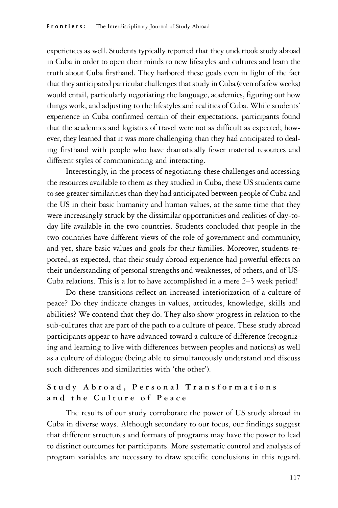experiences as well. Students typically reported that they undertook study abroad in Cuba in order to open their minds to new lifestyles and cultures and learn the truth about Cuba firsthand. They harbored these goals even in light of the fact that they anticipated particular challenges that study in Cuba (even of a few weeks) would entail, particularly negotiating the language, academics, figuring out how things work, and adjusting to the lifestyles and realities of Cuba. While students' experience in Cuba confirmed certain of their expectations, participants found that the academics and logistics of travel were not as difficult as expected; however, they learned that it was more challenging than they had anticipated to dealing firsthand with people who have dramatically fewer material resources and different styles of communicating and interacting.

Interestingly, in the process of negotiating these challenges and accessing the resources available to them as they studied in Cuba, these US students came to see greater similarities than they had anticipated between people of Cuba and the US in their basic humanity and human values, at the same time that they were increasingly struck by the dissimilar opportunities and realities of day-today life available in the two countries. Students concluded that people in the two countries have different views of the role of government and community, and yet, share basic values and goals for their families. Moreover, students reported, as expected, that their study abroad experience had powerful effects on their understanding of personal strengths and weaknesses, of others, and of US-Cuba relations. This is a lot to have accomplished in a mere 2–3 week period!

Do these transitions reflect an increased interiorization of a culture of peace? Do they indicate changes in values, attitudes, knowledge, skills and abilities? We contend that they do. They also show progress in relation to the sub-cultures that are part of the path to a culture of peace. These study abroad participants appear to have advanced toward a culture of difference (recognizing and learning to live with differences between peoples and nations) as well as a culture of dialogue (being able to simultaneously understand and discuss such differences and similarities with 'the other').

# **S t u d y A b r o a d , P e r s o n a l T r a n s f o r m a t i o n s a n d t h e C u l t u r e o f P e a c e**

The results of our study corroborate the power of US study abroad in Cuba in diverse ways. Although secondary to our focus, our findings suggest that different structures and formats of programs may have the power to lead to distinct outcomes for participants. More systematic control and analysis of program variables are necessary to draw specific conclusions in this regard.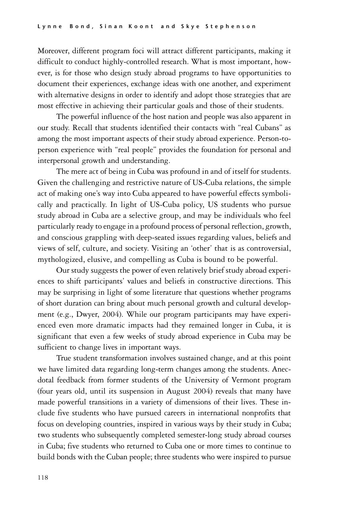Moreover, different program foci will attract different participants, making it difficult to conduct highly-controlled research. What is most important, however, is for those who design study abroad programs to have opportunities to document their experiences, exchange ideas with one another, and experiment with alternative designs in order to identify and adopt those strategies that are most effective in achieving their particular goals and those of their students.

The powerful influence of the host nation and people was also apparent in our study. Recall that students identified their contacts with "real Cubans" as among the most important aspects of their study abroad experience. Person-toperson experience with "real people" provides the foundation for personal and interpersonal growth and understanding.

The mere act of being in Cuba was profound in and of itself for students. Given the challenging and restrictive nature of US-Cuba relations, the simple act of making one's way into Cuba appeared to have powerful effects symbolically and practically. In light of US-Cuba policy, US students who pursue study abroad in Cuba are a selective group, and may be individuals who feel particularly ready to engage in a profound process of personal reflection, growth, and conscious grappling with deep-seated issues regarding values, beliefs and views of self, culture, and society. Visiting an 'other' that is as controversial, mythologized, elusive, and compelling as Cuba is bound to be powerful.

Our study suggests the power of even relatively brief study abroad experiences to shift participants' values and beliefs in constructive directions. This may be surprising in light of some literature that questions whether programs of short duration can bring about much personal growth and cultural development (e.g., Dwyer, 2004). While our program participants may have experienced even more dramatic impacts had they remained longer in Cuba, it is significant that even a few weeks of study abroad experience in Cuba may be sufficient to change lives in important ways.

True student transformation involves sustained change, and at this point we have limited data regarding long-term changes among the students. Anecdotal feedback from former students of the University of Vermont program (four years old, until its suspension in August 2004) reveals that many have made powerful transitions in a variety of dimensions of their lives. These include five students who have pursued careers in international nonprofits that focus on developing countries, inspired in various ways by their study in Cuba; two students who subsequently completed semester-long study abroad courses in Cuba; five students who returned to Cuba one or more times to continue to build bonds with the Cuban people; three students who were inspired to pursue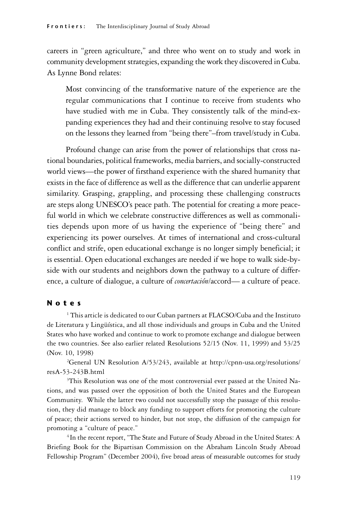careers in "green agriculture," and three who went on to study and work in community development strategies, expanding the work they discovered in Cuba. As Lynne Bond relates:

Most convincing of the transformative nature of the experience are the regular communications that I continue to receive from students who have studied with me in Cuba. They consistently talk of the mind-expanding experiences they had and their continuing resolve to stay focused on the lessons they learned from "being there"–from travel/study in Cuba.

Profound change can arise from the power of relationships that cross national boundaries, political frameworks, media barriers, and socially-constructed world views—the power of firsthand experience with the shared humanity that exists in the face of difference as well as the difference that can underlie apparent similarity. Grasping, grappling, and processing these challenging constructs are steps along UNESCO's peace path. The potential for creating a more peaceful world in which we celebrate constructive differences as well as commonalities depends upon more of us having the experience of "being there" and experiencing its power ourselves. At times of international and cross-cultural conflict and strife, open educational exchange is no longer simply beneficial; it is essential. Open educational exchanges are needed if we hope to walk side-byside with our students and neighbors down the pathway to a culture of difference, a culture of dialogue, a culture of *concertación*/accord— a culture of peace.

## N o t e s

<sup>1</sup> This article is dedicated to our Cuban partners at FLACSO/Cuba and the Instituto de Literatura y Lingüística, and all those individuals and groups in Cuba and the United States who have worked and continue to work to promote exchange and dialogue between the two countries. See also earlier related Resolutions 52/15 (Nov. 11, 1999) and 53/25 (Nov. 10, 1998)

<sup>2</sup>General UN Resolution A/53/243, available at http://cpnn-usa.org/resolutions/ resA-53-243B.html

<sup>3</sup>This Resolution was one of the most controversial ever passed at the United Nations, and was passed over the opposition of both the United States and the European Community. While the latter two could not successfully stop the passage of this resolution, they did manage to block any funding to support efforts for promoting the culture of peace; their actions served to hinder, but not stop, the diffusion of the campaign for promoting a "culture of peace."

<sup>4</sup> In the recent report, "The State and Future of Study Abroad in the United States: A Briefing Book for the Bipartisan Commission on the Abraham Lincoln Study Abroad Fellowship Program" (December 2004), five broad areas of measurable outcomes for study